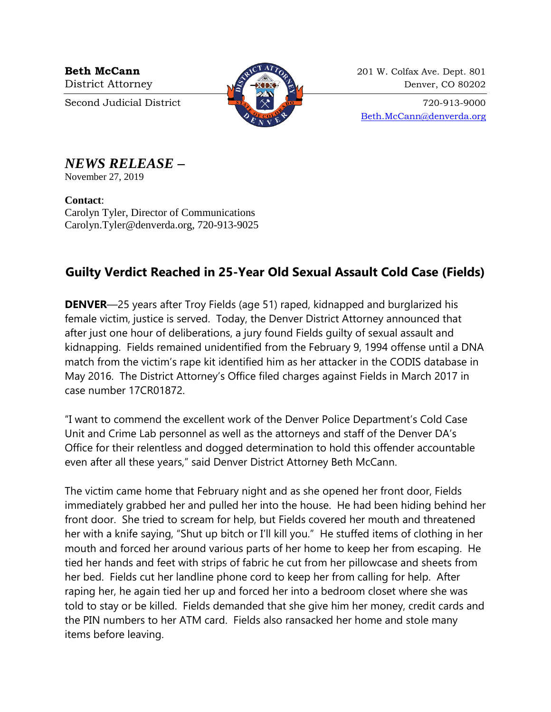

**Beth McCann** 201 W. Colfax Ave. Dept. 801 District Attorney  $\sqrt{2}$   $\sqrt{2}$   $\sqrt{2}$  Denver, CO 80202

Second Judicial District  $\begin{array}{c} \boxed{37} \\ \times \end{array}$   $\begin{array}{c} \times \\ \times \end{array}$  720-913-9000 [Beth.McCann@denverda.org](mailto:Beth.McCann@denverda.org)

## *NEWS RELEASE* **–**

November 27, 2019

**Contact**: Carolyn Tyler, Director of Communications Carolyn.Tyler@denverda.org, 720-913-9025

## **Guilty Verdict Reached in 25-Year Old Sexual Assault Cold Case (Fields)**

**DENVER**—25 years after Troy Fields (age 51) raped, kidnapped and burglarized his female victim, justice is served. Today, the Denver District Attorney announced that after just one hour of deliberations, a jury found Fields guilty of sexual assault and kidnapping. Fields remained unidentified from the February 9, 1994 offense until a DNA match from the victim's rape kit identified him as her attacker in the CODIS database in May 2016. The District Attorney's Office filed charges against Fields in March 2017 in case number 17CR01872.

"I want to commend the excellent work of the Denver Police Department's Cold Case Unit and Crime Lab personnel as well as the attorneys and staff of the Denver DA's Office for their relentless and dogged determination to hold this offender accountable even after all these years," said Denver District Attorney Beth McCann.

The victim came home that February night and as she opened her front door, Fields immediately grabbed her and pulled her into the house. He had been hiding behind her front door. She tried to scream for help, but Fields covered her mouth and threatened her with a knife saying, "Shut up bitch or I'll kill you." He stuffed items of clothing in her mouth and forced her around various parts of her home to keep her from escaping. He tied her hands and feet with strips of fabric he cut from her pillowcase and sheets from her bed. Fields cut her landline phone cord to keep her from calling for help. After raping her, he again tied her up and forced her into a bedroom closet where she was told to stay or be killed. Fields demanded that she give him her money, credit cards and the PIN numbers to her ATM card. Fields also ransacked her home and stole many items before leaving.